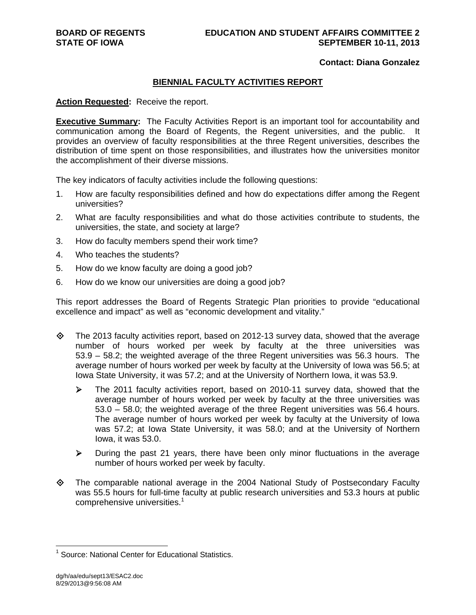### **Contact: Diana Gonzalez**

### **BIENNIAL FACULTY ACTIVITIES REPORT**

### **Action Requested:** Receive the report.

**Executive Summary:** The Faculty Activities Report is an important tool for accountability and communication among the Board of Regents, the Regent universities, and the public. It provides an overview of faculty responsibilities at the three Regent universities, describes the distribution of time spent on those responsibilities, and illustrates how the universities monitor the accomplishment of their diverse missions.

The key indicators of faculty activities include the following questions:

- 1. How are faculty responsibilities defined and how do expectations differ among the Regent universities?
- 2. What are faculty responsibilities and what do those activities contribute to students, the universities, the state, and society at large?
- 3. How do faculty members spend their work time?
- 4. Who teaches the students?
- 5. How do we know faculty are doing a good job?
- 6. How do we know our universities are doing a good job?

This report addresses the Board of Regents Strategic Plan priorities to provide "educational excellence and impact" as well as "economic development and vitality."

- $\Diamond$  The 2013 faculty activities report, based on 2012-13 survey data, showed that the average number of hours worked per week by faculty at the three universities was 53.9 – 58.2; the weighted average of the three Regent universities was 56.3 hours. The average number of hours worked per week by faculty at the University of Iowa was 56.5; at Iowa State University, it was 57.2; and at the University of Northern Iowa, it was 53.9.
	- $\triangleright$  The 2011 faculty activities report, based on 2010-11 survey data, showed that the average number of hours worked per week by faculty at the three universities was 53.0 – 58.0; the weighted average of the three Regent universities was 56.4 hours. The average number of hours worked per week by faculty at the University of Iowa was 57.2; at Iowa State University, it was 58.0; and at the University of Northern Iowa, it was 53.0.
	- $\triangleright$  During the past 21 years, there have been only minor fluctuations in the average number of hours worked per week by faculty.
- The comparable national average in the 2004 National Study of Postsecondary Faculty was 55.5 hours for full-time faculty at public research universities and 53.3 hours at public comprehensive universities.<sup>1</sup>

 $\overline{a}$ 

<sup>&</sup>lt;sup>1</sup> Source: National Center for Educational Statistics.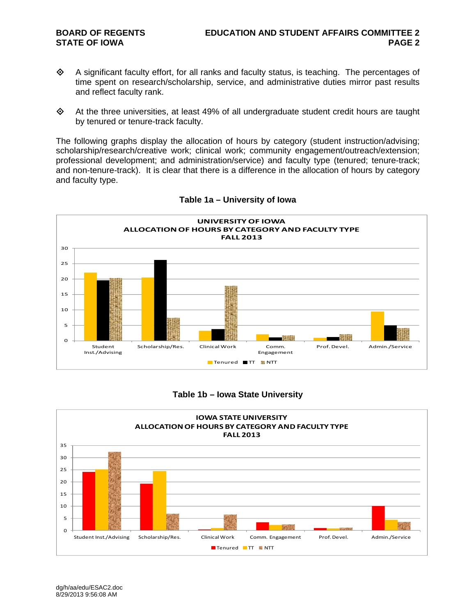- A significant faculty effort, for all ranks and faculty status, is teaching. The percentages of time spent on research/scholarship, service, and administrative duties mirror past results and reflect faculty rank.
- $\diamond$  At the three universities, at least 49% of all undergraduate student credit hours are taught by tenured or tenure-track faculty.

The following graphs display the allocation of hours by category (student instruction/advising; scholarship/research/creative work; clinical work; community engagement/outreach/extension; professional development; and administration/service) and faculty type (tenured; tenure-track; and non-tenure-track). It is clear that there is a difference in the allocation of hours by category and faculty type.



### **Table 1a – University of Iowa**

### **Table 1b – Iowa State University**

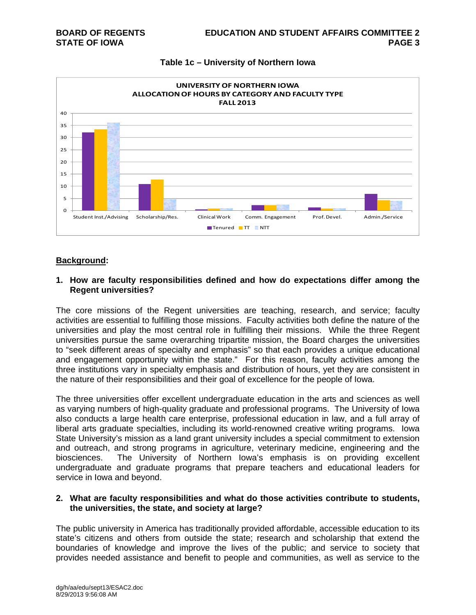

### **Table 1c – University of Northern Iowa**

### **Background:**

### **1. How are faculty responsibilities defined and how do expectations differ among the Regent universities?**

The core missions of the Regent universities are teaching, research, and service; faculty activities are essential to fulfilling those missions. Faculty activities both define the nature of the universities and play the most central role in fulfilling their missions. While the three Regent universities pursue the same overarching tripartite mission, the Board charges the universities to "seek different areas of specialty and emphasis" so that each provides a unique educational and engagement opportunity within the state." For this reason, faculty activities among the three institutions vary in specialty emphasis and distribution of hours, yet they are consistent in the nature of their responsibilities and their goal of excellence for the people of Iowa.

The three universities offer excellent undergraduate education in the arts and sciences as well as varying numbers of high-quality graduate and professional programs. The University of Iowa also conducts a large health care enterprise, professional education in law, and a full array of liberal arts graduate specialties, including its world-renowned creative writing programs. Iowa State University's mission as a land grant university includes a special commitment to extension and outreach, and strong programs in agriculture, veterinary medicine, engineering and the biosciences. The University of Northern Iowa's emphasis is on providing excellent undergraduate and graduate programs that prepare teachers and educational leaders for service in Iowa and beyond.

### **2. What are faculty responsibilities and what do those activities contribute to students, the universities, the state, and society at large?**

The public university in America has traditionally provided affordable, accessible education to its state's citizens and others from outside the state; research and scholarship that extend the boundaries of knowledge and improve the lives of the public; and service to society that provides needed assistance and benefit to people and communities, as well as service to the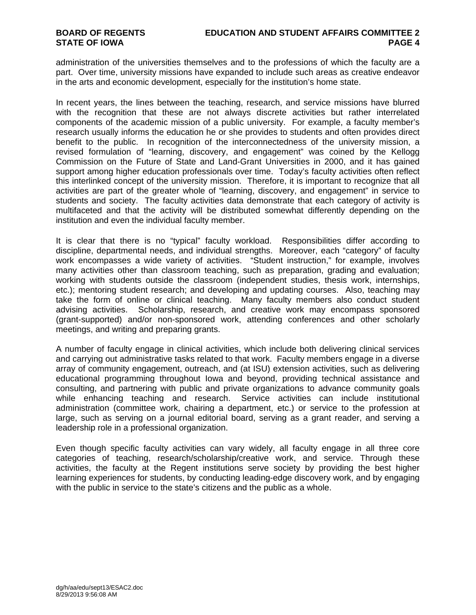administration of the universities themselves and to the professions of which the faculty are a part. Over time, university missions have expanded to include such areas as creative endeavor in the arts and economic development, especially for the institution's home state.

In recent years, the lines between the teaching, research, and service missions have blurred with the recognition that these are not always discrete activities but rather interrelated components of the academic mission of a public university. For example, a faculty member's research usually informs the education he or she provides to students and often provides direct benefit to the public. In recognition of the interconnectedness of the university mission, a revised formulation of "learning, discovery, and engagement" was coined by the Kellogg Commission on the Future of State and Land-Grant Universities in 2000, and it has gained support among higher education professionals over time. Today's faculty activities often reflect this interlinked concept of the university mission. Therefore, it is important to recognize that all activities are part of the greater whole of "learning, discovery, and engagement" in service to students and society. The faculty activities data demonstrate that each category of activity is multifaceted and that the activity will be distributed somewhat differently depending on the institution and even the individual faculty member.

It is clear that there is no "typical" faculty workload. Responsibilities differ according to discipline, departmental needs, and individual strengths. Moreover, each "category" of faculty work encompasses a wide variety of activities. "Student instruction," for example, involves many activities other than classroom teaching, such as preparation, grading and evaluation; working with students outside the classroom (independent studies, thesis work, internships, etc.); mentoring student research; and developing and updating courses. Also, teaching may take the form of online or clinical teaching. Many faculty members also conduct student advising activities. Scholarship, research, and creative work may encompass sponsored (grant-supported) and/or non-sponsored work, attending conferences and other scholarly meetings, and writing and preparing grants.

A number of faculty engage in clinical activities, which include both delivering clinical services and carrying out administrative tasks related to that work. Faculty members engage in a diverse array of community engagement, outreach, and (at ISU) extension activities, such as delivering educational programming throughout Iowa and beyond, providing technical assistance and consulting, and partnering with public and private organizations to advance community goals while enhancing teaching and research. Service activities can include institutional administration (committee work, chairing a department, etc.) or service to the profession at large, such as serving on a journal editorial board, serving as a grant reader, and serving a leadership role in a professional organization.

Even though specific faculty activities can vary widely, all faculty engage in all three core categories of teaching, research/scholarship/creative work, and service. Through these activities, the faculty at the Regent institutions serve society by providing the best higher learning experiences for students, by conducting leading-edge discovery work, and by engaging with the public in service to the state's citizens and the public as a whole.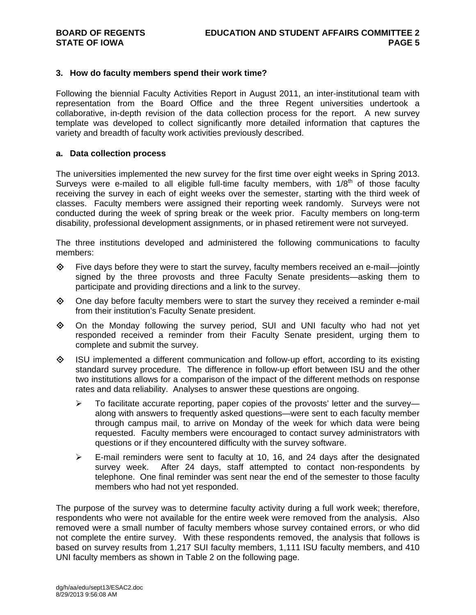### **3. How do faculty members spend their work time?**

Following the biennial Faculty Activities Report in August 2011, an inter-institutional team with representation from the Board Office and the three Regent universities undertook a collaborative, in-depth revision of the data collection process for the report. A new survey template was developed to collect significantly more detailed information that captures the variety and breadth of faculty work activities previously described.

### **a. Data collection process**

The universities implemented the new survey for the first time over eight weeks in Spring 2013. Surveys were e-mailed to all eligible full-time faculty members, with  $1/8<sup>th</sup>$  of those faculty receiving the survey in each of eight weeks over the semester, starting with the third week of classes. Faculty members were assigned their reporting week randomly. Surveys were not conducted during the week of spring break or the week prior. Faculty members on long-term disability, professional development assignments, or in phased retirement were not surveyed.

The three institutions developed and administered the following communications to faculty members:

- $\Leftrightarrow$  Five days before they were to start the survey, faculty members received an e-mail—jointly signed by the three provosts and three Faculty Senate presidents—asking them to participate and providing directions and a link to the survey.
- $\diamond$  One day before faculty members were to start the survey they received a reminder e-mail from their institution's Faculty Senate president.
- $\diamond$  On the Monday following the survey period, SUI and UNI faculty who had not yet responded received a reminder from their Faculty Senate president, urging them to complete and submit the survey.
- ISU implemented a different communication and follow-up effort, according to its existing standard survey procedure. The difference in follow-up effort between ISU and the other two institutions allows for a comparison of the impact of the different methods on response rates and data reliability. Analyses to answer these questions are ongoing.
	- $\triangleright$  To facilitate accurate reporting, paper copies of the provosts' letter and the survey along with answers to frequently asked questions—were sent to each faculty member through campus mail, to arrive on Monday of the week for which data were being requested. Faculty members were encouraged to contact survey administrators with questions or if they encountered difficulty with the survey software.
	- $\triangleright$  E-mail reminders were sent to faculty at 10, 16, and 24 days after the designated survey week. After 24 days, staff attempted to contact non-respondents by telephone. One final reminder was sent near the end of the semester to those faculty members who had not yet responded.

The purpose of the survey was to determine faculty activity during a full work week; therefore, respondents who were not available for the entire week were removed from the analysis. Also removed were a small number of faculty members whose survey contained errors, or who did not complete the entire survey. With these respondents removed, the analysis that follows is based on survey results from 1,217 SUI faculty members, 1,111 ISU faculty members, and 410 UNI faculty members as shown in Table 2 on the following page.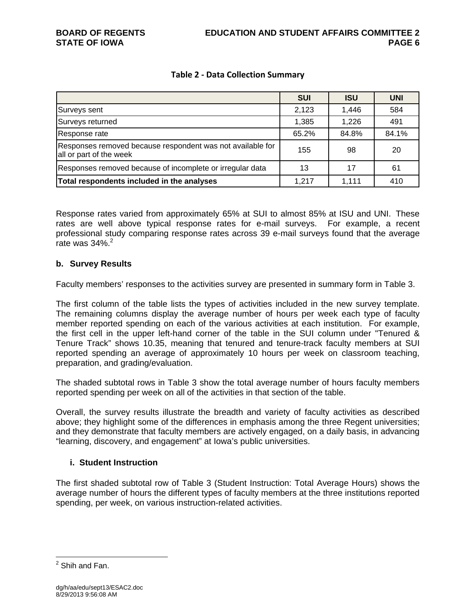### **Table 2 ‐ Data Collection Summary**

|                                                                                       | <b>SUI</b> | <b>ISU</b> | <b>UNI</b> |
|---------------------------------------------------------------------------------------|------------|------------|------------|
| Surveys sent                                                                          | 2,123      | 1,446      | 584        |
| Surveys returned                                                                      | 1,385      | 1,226      | 491        |
| Response rate                                                                         | 65.2%      | 84.8%      | 84.1%      |
| Responses removed because respondent was not available for<br>all or part of the week | 155        | 98         | 20         |
| Responses removed because of incomplete or irregular data                             | 13         | 17         | 61         |
| Total respondents included in the analyses                                            | 1.217      | 1,111      | 410        |

Response rates varied from approximately 65% at SUI to almost 85% at ISU and UNI. These rates are well above typical response rates for e-mail surveys. For example, a recent professional study comparing response rates across 39 e-mail surveys found that the average rate was  $34\%$ <sup>2</sup>

### **b. Survey Results**

Faculty members' responses to the activities survey are presented in summary form in Table 3.

The first column of the table lists the types of activities included in the new survey template. The remaining columns display the average number of hours per week each type of faculty member reported spending on each of the various activities at each institution. For example, the first cell in the upper left-hand corner of the table in the SUI column under "Tenured & Tenure Track" shows 10.35, meaning that tenured and tenure-track faculty members at SUI reported spending an average of approximately 10 hours per week on classroom teaching, preparation, and grading/evaluation.

The shaded subtotal rows in Table 3 show the total average number of hours faculty members reported spending per week on all of the activities in that section of the table.

Overall, the survey results illustrate the breadth and variety of faculty activities as described above; they highlight some of the differences in emphasis among the three Regent universities; and they demonstrate that faculty members are actively engaged, on a daily basis, in advancing "learning, discovery, and engagement" at Iowa's public universities.

### **i. Student Instruction**

The first shaded subtotal row of Table 3 (Student Instruction: Total Average Hours) shows the average number of hours the different types of faculty members at the three institutions reported spending, per week, on various instruction-related activities.

 $\overline{a}$ 

<sup>&</sup>lt;sup>2</sup> Shih and Fan.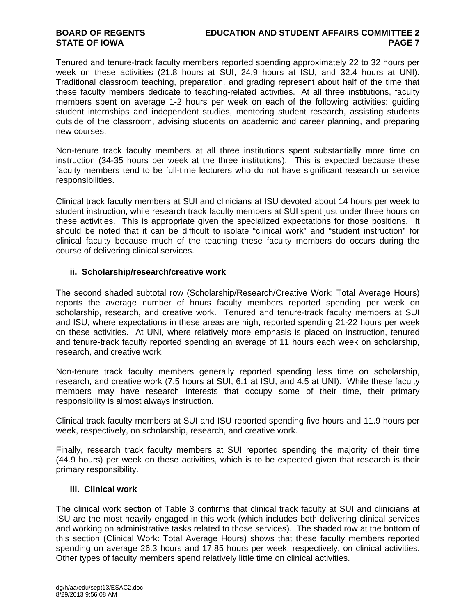### **BOARD OF REGENTS EDUCATION AND STUDENT AFFAIRS COMMITTEE 2 STATE OF IOWA** PAGE 7

Tenured and tenure-track faculty members reported spending approximately 22 to 32 hours per week on these activities (21.8 hours at SUI, 24.9 hours at ISU, and 32.4 hours at UNI). Traditional classroom teaching, preparation, and grading represent about half of the time that these faculty members dedicate to teaching-related activities. At all three institutions, faculty members spent on average 1-2 hours per week on each of the following activities: guiding student internships and independent studies, mentoring student research, assisting students outside of the classroom, advising students on academic and career planning, and preparing new courses.

Non-tenure track faculty members at all three institutions spent substantially more time on instruction (34-35 hours per week at the three institutions). This is expected because these faculty members tend to be full-time lecturers who do not have significant research or service responsibilities.

Clinical track faculty members at SUI and clinicians at ISU devoted about 14 hours per week to student instruction, while research track faculty members at SUI spent just under three hours on these activities. This is appropriate given the specialized expectations for those positions. It should be noted that it can be difficult to isolate "clinical work" and "student instruction" for clinical faculty because much of the teaching these faculty members do occurs during the course of delivering clinical services.

### **ii. Scholarship/research/creative work**

The second shaded subtotal row (Scholarship/Research/Creative Work: Total Average Hours) reports the average number of hours faculty members reported spending per week on scholarship, research, and creative work. Tenured and tenure-track faculty members at SUI and ISU, where expectations in these areas are high, reported spending 21-22 hours per week on these activities. At UNI, where relatively more emphasis is placed on instruction, tenured and tenure-track faculty reported spending an average of 11 hours each week on scholarship, research, and creative work.

Non-tenure track faculty members generally reported spending less time on scholarship, research, and creative work (7.5 hours at SUI, 6.1 at ISU, and 4.5 at UNI). While these faculty members may have research interests that occupy some of their time, their primary responsibility is almost always instruction.

Clinical track faculty members at SUI and ISU reported spending five hours and 11.9 hours per week, respectively, on scholarship, research, and creative work.

Finally, research track faculty members at SUI reported spending the majority of their time (44.9 hours) per week on these activities, which is to be expected given that research is their primary responsibility.

### **iii. Clinical work**

The clinical work section of Table 3 confirms that clinical track faculty at SUI and clinicians at ISU are the most heavily engaged in this work (which includes both delivering clinical services and working on administrative tasks related to those services). The shaded row at the bottom of this section (Clinical Work: Total Average Hours) shows that these faculty members reported spending on average 26.3 hours and 17.85 hours per week, respectively, on clinical activities. Other types of faculty members spend relatively little time on clinical activities.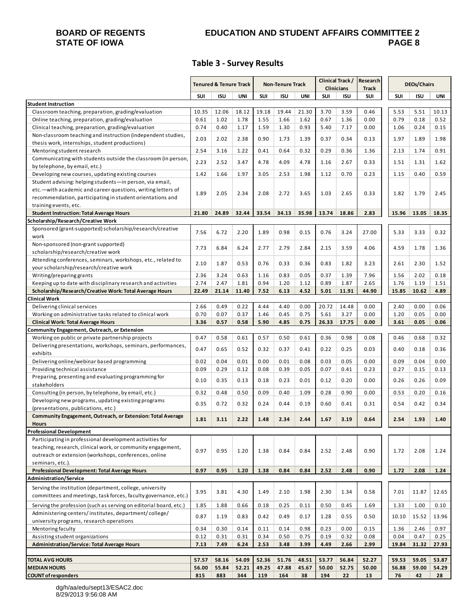# **STATE OF IOWA**

# **BOARD OF REGENTS EDUCATION AND STUDENT AFFAIRS COMMITTEE 2**

### **Table 3 ‐ Survey Results**

|                                                                                                                           | Tenured & Tenure Track |       | <b>Non-Tenure Track</b> |       | Clinical Track/<br><b>Clinicians</b> |       | Research<br><b>Track</b> | <b>DEOs/Chairs</b> |            |       |            |       |
|---------------------------------------------------------------------------------------------------------------------------|------------------------|-------|-------------------------|-------|--------------------------------------|-------|--------------------------|--------------------|------------|-------|------------|-------|
|                                                                                                                           | SUI                    | ISU   | UNI                     | SUI   | ISU                                  | UNI   | SUI                      | <b>ISU</b>         | <b>SUI</b> | SUI   | <b>ISU</b> | UNI   |
| <b>Student Instruction</b>                                                                                                |                        |       |                         |       |                                      |       |                          |                    |            |       |            |       |
| Classroom teaching, preparation, grading/evaluation                                                                       | 10.35                  | 12.06 | 18.12                   | 19.18 | 19.44                                | 21.30 | 3.70                     | 3.59               | 0.46       | 5.53  | 5.51       | 10.13 |
| Online teaching, preparation, grading/evaluation                                                                          | 0.61                   | 1.02  | 1.78                    | 1.55  | 1.66                                 | 1.62  | 0.67                     | 1.36               | 0.00       | 0.79  | 0.18       | 0.52  |
| Clinical teaching, preparation, grading/evaluation                                                                        | 0.74                   | 0.40  | 1.17                    | 1.59  | 1.30                                 | 0.93  | 5.40                     | 7.17               | 0.00       | 1.06  | 0.24       | 0.15  |
| Non-classroom teaching and instruction (independent studies,                                                              | 2.03                   | 2.02  | 2.38                    | 0.90  | 1.73                                 | 1.39  | 0.37                     | 0.34               | 0.13       | 1.97  | 1.89       | 1.98  |
| thesis work, internships, student productions)                                                                            |                        |       |                         |       |                                      |       |                          |                    |            |       |            |       |
| Mentoring student research                                                                                                | 2.54                   | 3.16  | 1.22                    | 0.41  | 0.64                                 | 0.32  | 0.29                     | 0.36               | 1.36       | 2.13  | 1.74       | 0.91  |
| Communicating with students outside the classroom (in person,                                                             | 2.23                   | 2.52  | 3.47                    | 4.78  | 4.09                                 | 4.78  | 1.16                     | 2.67               | 0.33       | 1.51  | 1.31       | 1.62  |
| by telephone, by email, etc.)                                                                                             | 1.42                   |       | 1.97                    | 3.05  |                                      |       |                          |                    | 0.23       | 1.15  | 0.40       |       |
| Developing new courses, updating existing courses                                                                         |                        | 1.66  |                         |       | 2.53                                 | 1.98  | 1.12                     | 0.70               |            |       |            | 0.59  |
| Student advising: helping students-in person, via email,<br>etc. - with academic and career questions, writing letters of |                        |       |                         |       |                                      |       |                          |                    |            |       |            |       |
| recommendation, participating in student orientations and                                                                 | 1.89                   | 2.05  | 2.34                    | 2.08  | 2.72                                 | 3.65  | 1.03                     | 2.65               | 0.33       | 1.82  | 1.79       | 2.45  |
| training events, etc.                                                                                                     |                        |       |                         |       |                                      |       |                          |                    |            |       |            |       |
| <b>Student Instruction: Total Average Hours</b>                                                                           | 21.80                  | 24.89 | 32.44                   | 33.54 | 34.13                                | 35.98 | 13.74                    | 18.86              | 2.83       | 15.96 | 13.05      | 18.35 |
| Scholarship/Research/Creative Work                                                                                        |                        |       |                         |       |                                      |       |                          |                    |            |       |            |       |
| Sponsored (grant-supported) scholarship/research/creative                                                                 |                        |       |                         |       |                                      |       |                          |                    |            |       |            |       |
| work                                                                                                                      | 7.56                   | 6.72  | 2.20                    | 1.89  | 0.98                                 | 0.15  | 0.76                     | 3.24               | 27.00      | 5.33  | 3.33       | 0.32  |
| Non-sponsored (non-grant supported)                                                                                       |                        |       |                         |       |                                      |       |                          |                    |            |       |            |       |
| scholarship/research/creative work                                                                                        | 7.73                   | 6.84  | 6.24                    | 2.77  | 2.79                                 | 2.84  | 2.15                     | 3.59               | 4.06       | 4.59  | 1.78       | 1.36  |
| Attending conferences, seminars, workshops, etc., related to                                                              | 2.10                   | 1.87  | 0.53                    |       | 0.33                                 | 0.36  | 0.83                     | 1.82               | 3.23       | 2.61  | 2.30       |       |
| your scholarship/research/creative work                                                                                   |                        |       |                         | 0.76  |                                      |       |                          |                    |            |       |            | 1.52  |
| Writing/preparing grants                                                                                                  | 2.36                   | 3.24  | 0.63                    | 1.16  | 0.83                                 | 0.05  | 0.37                     | 1.39               | 7.96       | 1.56  | 2.02       | 0.18  |
| Keeping up to date with disciplinary research and activities                                                              | 2.74                   | 2.47  | 1.81                    | 0.94  | 1.20                                 | 1.12  | 0.89                     | 1.87               | 2.65       | 1.76  | 1.19       | 1.51  |
| Scholarship/Research/Creative Work: Total Average Hours                                                                   | 22.49                  | 21.14 | 11.40                   | 7.52  | 6.13                                 | 4.52  | 5.01                     | 11.91              | 44.90      | 15.85 | 10.62      | 4.89  |
| <b>Clinical Work</b>                                                                                                      |                        |       |                         |       |                                      |       |                          |                    |            |       |            |       |
| Delivering clinical services                                                                                              | 2.66                   | 0.49  | 0.22                    | 4.44  | 4.40                                 | 0.00  | 20.72                    | 14.48              | 0.00       | 2.40  | 0.00       | 0.06  |
| Working on administrative tasks related to clinical work                                                                  | 0.70                   | 0.07  | 0.37                    | 1.46  | 0.45                                 | 0.75  | 5.61                     | 3.27               | 0.00       | 1.20  | 0.05       | 0.00  |
| <b>Clinical Work: Total Average Hours</b>                                                                                 | 3.36                   | 0.57  | 0.58                    | 5.90  | 4.85                                 | 0.75  | 26.33                    | 17.75              | 0.00       | 3.61  | 0.05       | 0.06  |
| Community Engagement, Outreach, or Extension                                                                              | 0.47                   |       | 0.61                    | 0.57  |                                      | 0.61  | 0.36                     | 0.98               | 0.08       | 0.46  | 0.68       | 0.32  |
| Working on public or private partnership projects<br>Delivering presentations, workshops, seminars, performances,         |                        | 0.58  |                         |       | 0.50                                 |       |                          |                    |            |       |            |       |
| exhibits                                                                                                                  | 0.47                   | 0.65  | 0.52                    | 0.32  | 0.37                                 | 0.41  | 0.22                     | 0.25               | 0.03       | 0.40  | 0.18       | 0.36  |
| Delivering online/webinar based programming                                                                               | 0.02                   | 0.04  | 0.01                    | 0.00  | 0.01                                 | 0.08  | 0.03                     | 0.05               | 0.00       | 0.09  | 0.04       | 0.00  |
| Providing technical assistance                                                                                            | 0.09                   | 0.29  | 0.12                    | 0.08  | 0.39                                 | 0.05  | 0.07                     | 0.41               | 0.23       | 0.27  | 0.15       | 0.13  |
| Preparing, presenting and evaluating programming for                                                                      |                        |       |                         |       |                                      |       |                          |                    |            |       |            |       |
| stakeholders                                                                                                              | 0.10                   | 0.35  | 0.13                    | 0.18  | 0.23                                 | 0.01  | 0.12                     | 0.20               | 0.00       | 0.26  | 0.26       | 0.09  |
| Consulting (in person, by telephone, by email, etc.)                                                                      | 0.32                   | 0.48  | 0.50                    | 0.09  | 0.40                                 | 1.09  | 0.28                     | 0.90               | 0.00       | 0.53  | 0.20       | 0.16  |
| Developing new programs, updating existing programs                                                                       |                        | 0.72  |                         | 0.24  | 0.44                                 | 0.19  | 0.60                     |                    |            | 0.54  | 0.42       | 0.34  |
| (presentations, publications, etc.)                                                                                       | 0.35                   |       | 0.32                    |       |                                      |       |                          | 0.41               | 0.31       |       |            |       |
| Community Engagement, Outreach, or Extension: Total Average                                                               | 1.81                   | 3.11  | 2.22                    | 1.48  | 2.34                                 | 2.44  | 1.67                     | 3.19               | 0.64       | 2.54  | 1.93       | 1.40  |
| <b>Hours</b>                                                                                                              |                        |       |                         |       |                                      |       |                          |                    |            |       |            |       |
| <b>Professional Development</b>                                                                                           |                        |       |                         |       |                                      |       |                          |                    |            |       |            |       |
| Participating in professional development activities for                                                                  |                        |       |                         |       |                                      |       |                          |                    |            |       |            |       |
| teaching, research, clinical work, or community engagement,                                                               | 0.97                   | 0.95  | 1.20                    | 1.38  | 0.84                                 | 0.84  | 2.52                     | 2.48               | 0.90       | 1.72  | 2.08       | 1.24  |
| outreach or extension (workshops, conferences, online                                                                     |                        |       |                         |       |                                      |       |                          |                    |            |       |            |       |
| seminars, etc.).                                                                                                          |                        |       |                         |       |                                      |       |                          |                    |            |       |            |       |
| Professional Development: Total Average Hours<br>Administration/Service                                                   | 0.97                   | 0.95  | 1.20                    | 1.38  | 0.84                                 | 0.84  | 2.52                     | 2.48               | 0.90       | 1.72  | 2.08       | 1.24  |
|                                                                                                                           |                        |       |                         |       |                                      |       |                          |                    |            |       |            |       |
| Serving the institution (department, college, university                                                                  | 3.95                   | 3.81  | 4.30                    | 1.49  | 2.10                                 | 1.98  | 2.30                     | 1.34               | 0.58       | 7.01  | 11.87      | 12.65 |
| committees and meetings, task forces, faculty governance, etc.)                                                           |                        |       |                         |       |                                      |       |                          |                    |            |       |            |       |
| Serving the profession (such as serving on editorial board, etc.)                                                         | 1.85                   | 1.88  | 0.66                    | 0.18  | 0.25                                 | 0.11  | 0.50                     | 0.45               | 1.69       | 1.33  | 1.00       | 0.10  |
| Administering centers/institutes, department/college/                                                                     | 0.87                   | 1.19  | 0.83                    | 0.42  | 0.49                                 | 0.17  | 1.28                     | 0.55               | 0.50       | 10.10 | 15.52      | 13.96 |
| university programs, research operations                                                                                  |                        |       |                         |       |                                      |       |                          |                    |            |       |            |       |
| Mentoring faculty                                                                                                         | 0.34                   | 0.30  | 0.14                    | 0.11  | 0.14                                 | 0.98  | 0.23                     | 0.00               | 0.15       | 1.36  | 2.46       | 0.97  |
| Assisting student organizations                                                                                           | 0.12                   | 0.31  | 0.31                    | 0.34  | 0.50                                 | 0.75  | 0.19                     | 0.32               | 0.08       | 0.04  | 0.47       | 0.25  |
| <b>Administration/Service: Total Average Hours</b>                                                                        | 7.13                   | 7.49  | 6.24                    | 2.53  | 3.48                                 | 3.99  | 4.49                     | 2.66               | 2.99       | 19.84 | 31.32      | 27.93 |
| <b>TOTAL AVG HOURS</b>                                                                                                    | 57.57                  | 58.16 | 54.09                   | 52.36 | 51.76                                | 48.51 | 53.77                    | 56.84              | 52.27      | 59.53 | 59.05      | 53.87 |
| <b>MEDIAN HOURS</b>                                                                                                       | 56.00                  | 55.84 | 52.21                   | 49.25 | 47.88                                | 45.67 | 50.00                    | 52.75              | 50.00      | 56.88 | 59.00      | 54.29 |
| <b>COUNT of responders</b>                                                                                                | 815                    | 883   | 344                     | 119   | 164                                  | 38    | 194                      | 22                 | 13         | 76    | 42         | 28    |

dg/h/aa/edu/sept13/ESAC2.doc 8/29/2013 9:56:08 AM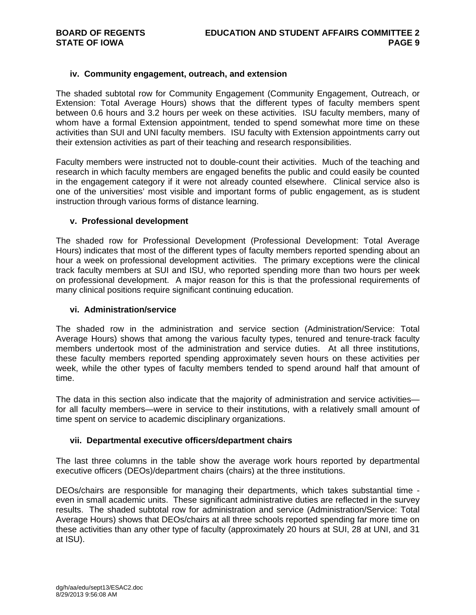### **iv. Community engagement, outreach, and extension**

The shaded subtotal row for Community Engagement (Community Engagement, Outreach, or Extension: Total Average Hours) shows that the different types of faculty members spent between 0.6 hours and 3.2 hours per week on these activities. ISU faculty members, many of whom have a formal Extension appointment, tended to spend somewhat more time on these activities than SUI and UNI faculty members. ISU faculty with Extension appointments carry out their extension activities as part of their teaching and research responsibilities.

Faculty members were instructed not to double-count their activities. Much of the teaching and research in which faculty members are engaged benefits the public and could easily be counted in the engagement category if it were not already counted elsewhere. Clinical service also is one of the universities' most visible and important forms of public engagement, as is student instruction through various forms of distance learning.

### **v. Professional development**

The shaded row for Professional Development (Professional Development: Total Average Hours) indicates that most of the different types of faculty members reported spending about an hour a week on professional development activities. The primary exceptions were the clinical track faculty members at SUI and ISU, who reported spending more than two hours per week on professional development. A major reason for this is that the professional requirements of many clinical positions require significant continuing education.

### **vi. Administration/service**

The shaded row in the administration and service section (Administration/Service: Total Average Hours) shows that among the various faculty types, tenured and tenure-track faculty members undertook most of the administration and service duties. At all three institutions, these faculty members reported spending approximately seven hours on these activities per week, while the other types of faculty members tended to spend around half that amount of time.

The data in this section also indicate that the majority of administration and service activities for all faculty members—were in service to their institutions, with a relatively small amount of time spent on service to academic disciplinary organizations.

### **vii. Departmental executive officers/department chairs**

The last three columns in the table show the average work hours reported by departmental executive officers (DEOs)/department chairs (chairs) at the three institutions.

DEOs/chairs are responsible for managing their departments, which takes substantial time even in small academic units. These significant administrative duties are reflected in the survey results. The shaded subtotal row for administration and service (Administration/Service: Total Average Hours) shows that DEOs/chairs at all three schools reported spending far more time on these activities than any other type of faculty (approximately 20 hours at SUI, 28 at UNI, and 31 at ISU).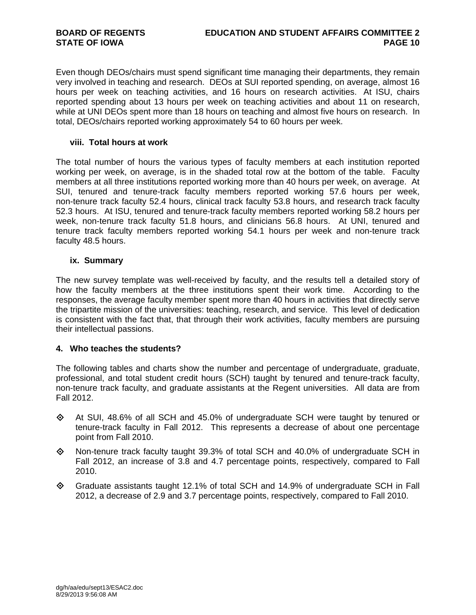Even though DEOs/chairs must spend significant time managing their departments, they remain very involved in teaching and research. DEOs at SUI reported spending, on average, almost 16 hours per week on teaching activities, and 16 hours on research activities. At ISU, chairs reported spending about 13 hours per week on teaching activities and about 11 on research, while at UNI DEOs spent more than 18 hours on teaching and almost five hours on research. In total, DEOs/chairs reported working approximately 54 to 60 hours per week.

### **viii. Total hours at work**

The total number of hours the various types of faculty members at each institution reported working per week, on average, is in the shaded total row at the bottom of the table. Faculty members at all three institutions reported working more than 40 hours per week, on average. At SUI, tenured and tenure-track faculty members reported working 57.6 hours per week, non-tenure track faculty 52.4 hours, clinical track faculty 53.8 hours, and research track faculty 52.3 hours. At ISU, tenured and tenure-track faculty members reported working 58.2 hours per week, non-tenure track faculty 51.8 hours, and clinicians 56.8 hours. At UNI, tenured and tenure track faculty members reported working 54.1 hours per week and non-tenure track faculty 48.5 hours.

### **ix. Summary**

The new survey template was well-received by faculty, and the results tell a detailed story of how the faculty members at the three institutions spent their work time. According to the responses, the average faculty member spent more than 40 hours in activities that directly serve the tripartite mission of the universities: teaching, research, and service. This level of dedication is consistent with the fact that, that through their work activities, faculty members are pursuing their intellectual passions.

### **4. Who teaches the students?**

The following tables and charts show the number and percentage of undergraduate, graduate, professional, and total student credit hours (SCH) taught by tenured and tenure-track faculty, non-tenure track faculty, and graduate assistants at the Regent universities. All data are from Fall 2012.

- $\Diamond$  At SUI, 48.6% of all SCH and 45.0% of undergraduate SCH were taught by tenured or tenure-track faculty in Fall 2012. This represents a decrease of about one percentage point from Fall 2010.
- $\Diamond$  Non-tenure track faculty taught 39.3% of total SCH and 40.0% of undergraduate SCH in Fall 2012, an increase of 3.8 and 4.7 percentage points, respectively, compared to Fall 2010.
- $\Diamond$  Graduate assistants taught 12.1% of total SCH and 14.9% of undergraduate SCH in Fall 2012, a decrease of 2.9 and 3.7 percentage points, respectively, compared to Fall 2010.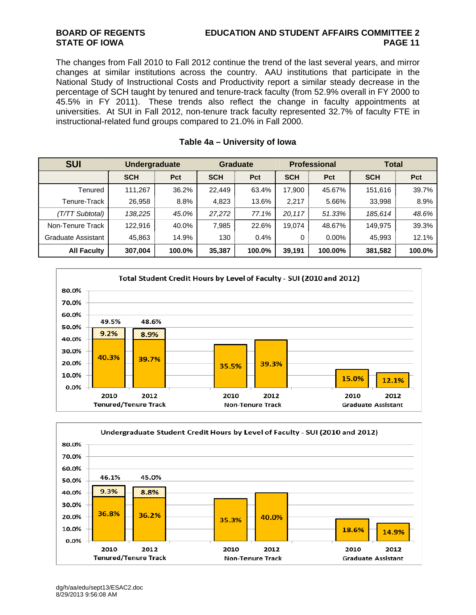### **BOARD OF REGENTS EDUCATION AND STUDENT AFFAIRS COMMITTEE 2 STATE OF IOWA PAGE 11**

The changes from Fall 2010 to Fall 2012 continue the trend of the last several years, and mirror changes at similar institutions across the country. AAU institutions that participate in the National Study of Instructional Costs and Productivity report a similar steady decrease in the percentage of SCH taught by tenured and tenure-track faculty (from 52.9% overall in FY 2000 to 45.5% in FY 2011). These trends also reflect the change in faculty appointments at universities. At SUI in Fall 2012, non-tenure track faculty represented 32.7% of faculty FTE in instructional-related fund groups compared to 21.0% in Fall 2000.

| <b>SUI</b>         | <b>Undergraduate</b> |        | <b>Graduate</b> |        | <b>Professional</b> |            | <b>Total</b> |        |
|--------------------|----------------------|--------|-----------------|--------|---------------------|------------|--------------|--------|
|                    | <b>SCH</b>           | Pct    | <b>SCH</b>      | Pct    | <b>SCH</b>          | <b>Pct</b> | <b>SCH</b>   | Pct    |
| Tenured            | 111.267              | 36.2%  | 22,449          | 63.4%  | 17.900              | 45.67%     | 151,616      | 39.7%  |
| Tenure-Track       | 26,958               | 8.8%   | 4,823           | 13.6%  | 2,217               | 5.66%      | 33,998       | 8.9%   |
| (T/TT Subtotal)    | 138.225              | 45.0%  | 27,272          | 77.1%  | 20.117              | 51.33%     | 185.614      | 48.6%  |
| Non-Tenure Track   | 122,916              | 40.0%  | 7,985           | 22.6%  | 19.074              | 48.67%     | 149.975      | 39.3%  |
| Graduate Assistant | 45,863               | 14.9%  | 130             | 0.4%   | 0                   | $0.00\%$   | 45,993       | 12.1%  |
| <b>All Faculty</b> | 307,004              | 100.0% | 35,387          | 100.0% | 39,191              | 100.00%    | 381,582      | 100.0% |

### **Table 4a – University of Iowa**



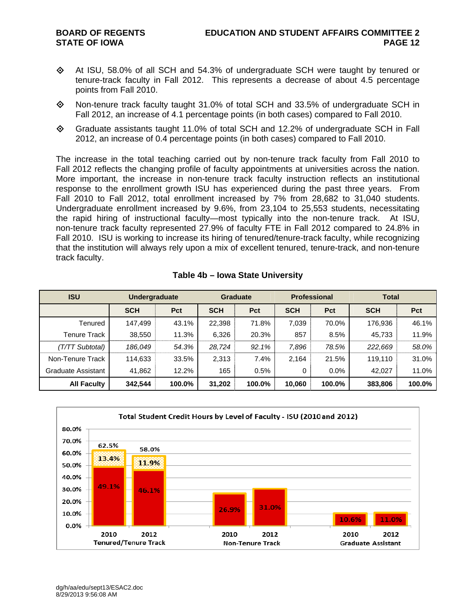- $\Diamond$  At ISU, 58.0% of all SCH and 54.3% of undergraduate SCH were taught by tenured or tenure-track faculty in Fall 2012. This represents a decrease of about 4.5 percentage points from Fall 2010.
- $\Diamond$  Non-tenure track faculty taught 31.0% of total SCH and 33.5% of undergraduate SCH in Fall 2012, an increase of 4.1 percentage points (in both cases) compared to Fall 2010.
- Graduate assistants taught 11.0% of total SCH and 12.2% of undergraduate SCH in Fall 2012, an increase of 0.4 percentage points (in both cases) compared to Fall 2010.

The increase in the total teaching carried out by non-tenure track faculty from Fall 2010 to Fall 2012 reflects the changing profile of faculty appointments at universities across the nation. More important, the increase in non-tenure track faculty instruction reflects an institutional response to the enrollment growth ISU has experienced during the past three years. From Fall 2010 to Fall 2012, total enrollment increased by 7% from 28,682 to 31,040 students. Undergraduate enrollment increased by 9.6%, from 23,104 to 25,553 students, necessitating the rapid hiring of instructional faculty—most typically into the non-tenure track. At ISU, non-tenure track faculty represented 27.9% of faculty FTE in Fall 2012 compared to 24.8% in Fall 2010. ISU is working to increase its hiring of tenured/tenure-track faculty, while recognizing that the institution will always rely upon a mix of excellent tenured, tenure-track, and non-tenure track faculty.

| <b>ISU</b>          | <b>Undergraduate</b> |        | <b>Graduate</b> |            | <b>Professional</b> |         | <b>Total</b> |        |
|---------------------|----------------------|--------|-----------------|------------|---------------------|---------|--------------|--------|
|                     | <b>SCH</b>           | Pct    | <b>SCH</b>      | <b>Pct</b> | <b>SCH</b>          | Pct     | <b>SCH</b>   | Pct    |
| Tenured             | 147.499              | 43.1%  | 22,398          | 71.8%      | 7,039               | 70.0%   | 176.936      | 46.1%  |
| <b>Tenure Track</b> | 38,550               | 11.3%  | 6,326           | 20.3%      | 857                 | 8.5%    | 45,733       | 11.9%  |
| (T/TT Subtotal)     | 186,049              | 54.3%  | 28.724          | 92.1%      | 7,896               | 78.5%   | 222,669      | 58.0%  |
| Non-Tenure Track    | 114,633              | 33.5%  | 2,313           | 7.4%       | 2,164               | 21.5%   | 119.110      | 31.0%  |
| Graduate Assistant  | 41,862               | 12.2%  | 165             | 0.5%       | 0                   | $0.0\%$ | 42,027       | 11.0%  |
| <b>All Faculty</b>  | 342.544              | 100.0% | 31,202          | 100.0%     | 10,060              | 100.0%  | 383,806      | 100.0% |

### **Table 4b – Iowa State University**

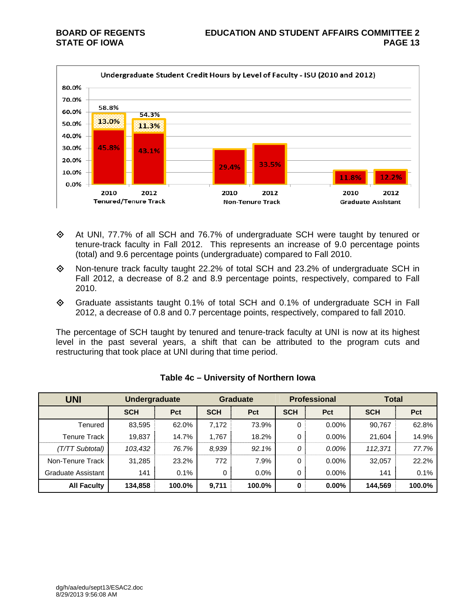

- At UNI, 77.7% of all SCH and 76.7% of undergraduate SCH were taught by tenured or tenure-track faculty in Fall 2012. This represents an increase of 9.0 percentage points (total) and 9.6 percentage points (undergraduate) compared to Fall 2010.
- Non-tenure track faculty taught 22.2% of total SCH and 23.2% of undergraduate SCH in Fall 2012, a decrease of 8.2 and 8.9 percentage points, respectively, compared to Fall 2010.
- Graduate assistants taught 0.1% of total SCH and 0.1% of undergraduate SCH in Fall 2012, a decrease of 0.8 and 0.7 percentage points, respectively, compared to fall 2010.

The percentage of SCH taught by tenured and tenure-track faculty at UNI is now at its highest level in the past several years, a shift that can be attributed to the program cuts and restructuring that took place at UNI during that time period.

| <b>UNI</b>          | <b>Undergraduate</b> |        |            | <b>Graduate</b> |            | <b>Professional</b> | <b>Total</b> |        |
|---------------------|----------------------|--------|------------|-----------------|------------|---------------------|--------------|--------|
|                     | <b>SCH</b>           | Pct    | <b>SCH</b> | Pct             | <b>SCH</b> | <b>Pct</b>          | <b>SCH</b>   | Pct    |
| Tenured             | 83,595               | 62.0%  | 7,172      | 73.9%           | 0          | $0.00\%$            | 90,767       | 62.8%  |
| <b>Tenure Track</b> | 19,837               | 14.7%  | 1.767      | 18.2%           | 0          | $0.00\%$            | 21,604       | 14.9%  |
| (T/TT Subtotal)     | 103,432              | 76.7%  | 8,939      | 92.1%           | 0          | 0.00%               | 112,371      | 77.7%  |
| Non-Tenure Track    | 31,285               | 23.2%  | 772        | 7.9%            | 0          | $0.00\%$            | 32,057       | 22.2%  |
| Graduate Assistant  | 141                  | 0.1%   | 0          | $0.0\%$         | 0          | $0.00\%$            | 141          | 0.1%   |
| <b>All Faculty</b>  | 134,858              | 100.0% | 9,711      | 100.0%          | 0          | $0.00\%$            | 144,569      | 100.0% |

| Table 4c – University of Northern Iowa |  |  |  |  |
|----------------------------------------|--|--|--|--|
|----------------------------------------|--|--|--|--|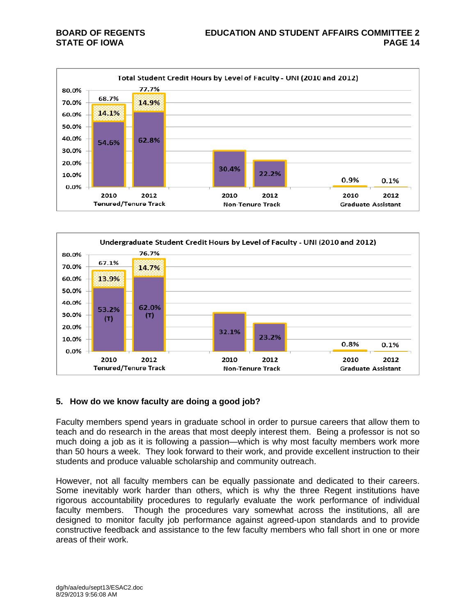



### **5. How do we know faculty are doing a good job?**

Faculty members spend years in graduate school in order to pursue careers that allow them to teach and do research in the areas that most deeply interest them. Being a professor is not so much doing a job as it is following a passion—which is why most faculty members work more than 50 hours a week. They look forward to their work, and provide excellent instruction to their students and produce valuable scholarship and community outreach.

However, not all faculty members can be equally passionate and dedicated to their careers. Some inevitably work harder than others, which is why the three Regent institutions have rigorous accountability procedures to regularly evaluate the work performance of individual faculty members. Though the procedures vary somewhat across the institutions, all are designed to monitor faculty job performance against agreed-upon standards and to provide constructive feedback and assistance to the few faculty members who fall short in one or more areas of their work.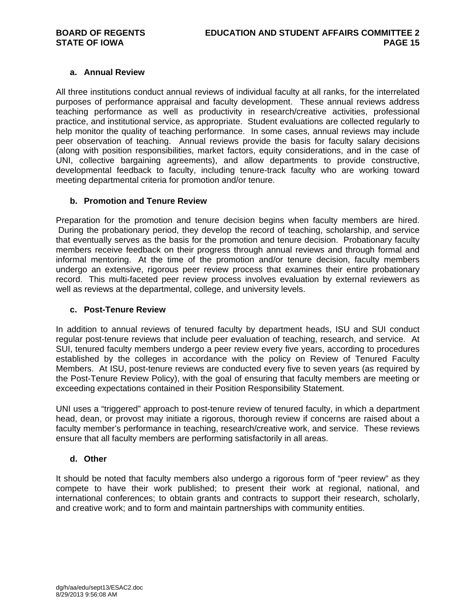### **a. Annual Review**

All three institutions conduct annual reviews of individual faculty at all ranks, for the interrelated purposes of performance appraisal and faculty development. These annual reviews address teaching performance as well as productivity in research/creative activities, professional practice, and institutional service, as appropriate. Student evaluations are collected regularly to help monitor the quality of teaching performance. In some cases, annual reviews may include peer observation of teaching. Annual reviews provide the basis for faculty salary decisions (along with position responsibilities, market factors, equity considerations, and in the case of UNI, collective bargaining agreements), and allow departments to provide constructive, developmental feedback to faculty, including tenure-track faculty who are working toward meeting departmental criteria for promotion and/or tenure.

### **b. Promotion and Tenure Review**

Preparation for the promotion and tenure decision begins when faculty members are hired. During the probationary period, they develop the record of teaching, scholarship, and service that eventually serves as the basis for the promotion and tenure decision. Probationary faculty members receive feedback on their progress through annual reviews and through formal and informal mentoring. At the time of the promotion and/or tenure decision, faculty members undergo an extensive, rigorous peer review process that examines their entire probationary record. This multi-faceted peer review process involves evaluation by external reviewers as well as reviews at the departmental, college, and university levels.

### **c. Post-Tenure Review**

In addition to annual reviews of tenured faculty by department heads, ISU and SUI conduct regular post-tenure reviews that include peer evaluation of teaching, research, and service. At SUI, tenured faculty members undergo a peer review every five years, according to procedures established by the colleges in accordance with the policy on Review of Tenured Faculty Members. At ISU, post-tenure reviews are conducted every five to seven years (as required by the Post-Tenure Review Policy), with the goal of ensuring that faculty members are meeting or exceeding expectations contained in their Position Responsibility Statement.

UNI uses a "triggered" approach to post-tenure review of tenured faculty, in which a department head, dean, or provost may initiate a rigorous, thorough review if concerns are raised about a faculty member's performance in teaching, research/creative work, and service. These reviews ensure that all faculty members are performing satisfactorily in all areas.

### **d. Other**

It should be noted that faculty members also undergo a rigorous form of "peer review" as they compete to have their work published; to present their work at regional, national, and international conferences; to obtain grants and contracts to support their research, scholarly, and creative work; and to form and maintain partnerships with community entities.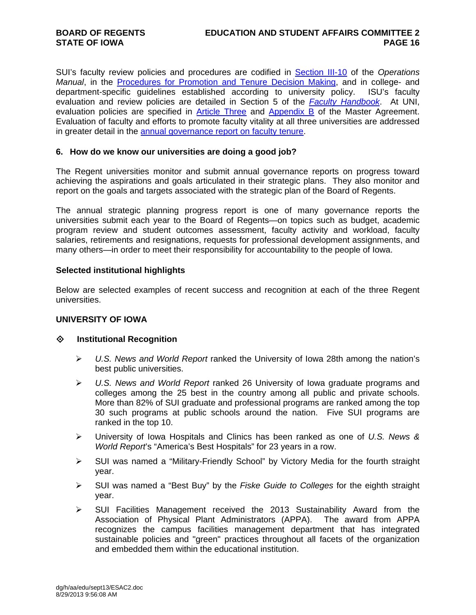SUI's faculty review policies and procedures are codified in Section III-10 of the *Operations Manual*, in the **Procedures for Promotion and Tenure Decision Making**, and in college- and department-specific guidelines established according to university policy. ISU's faculty evaluation and review policies are detailed in Section 5 of the *Faculty Handbook*. At UNI, evaluation policies are specified in Article Three and Appendix B of the Master Agreement. Evaluation of faculty and efforts to promote faculty vitality at all three universities are addressed in greater detail in the annual governance report on faculty tenure.

### **6. How do we know our universities are doing a good job?**

The Regent universities monitor and submit annual governance reports on progress toward achieving the aspirations and goals articulated in their strategic plans. They also monitor and report on the goals and targets associated with the strategic plan of the Board of Regents.

The annual strategic planning progress report is one of many governance reports the universities submit each year to the Board of Regents—on topics such as budget, academic program review and student outcomes assessment, faculty activity and workload, faculty salaries, retirements and resignations, requests for professional development assignments, and many others—in order to meet their responsibility for accountability to the people of Iowa.

### **Selected institutional highlights**

Below are selected examples of recent success and recognition at each of the three Regent universities.

### **UNIVERSITY OF IOWA**

### **Institutional Recognition**

- *U.S. News and World Report* ranked the University of Iowa 28th among the nation's best public universities.
- *U.S. News and World Report* ranked 26 University of Iowa graduate programs and colleges among the 25 best in the country among all public and private schools. More than 82% of SUI graduate and professional programs are ranked among the top 30 such programs at public schools around the nation. Five SUI programs are ranked in the top 10.
- University of Iowa Hospitals and Clinics has been ranked as one of *U.S. News & World Report*'s "America's Best Hospitals" for 23 years in a row.
- SUI was named a "Military-Friendly School" by Victory Media for the fourth straight year.
- SUI was named a "Best Buy" by the *Fiske Guide to Colleges* for the eighth straight year.
- $\triangleright$  SUI Facilities Management received the 2013 Sustainability Award from the Association of Physical Plant Administrators (APPA). The award from APPA recognizes the campus facilities management department that has integrated sustainable policies and "green" practices throughout all facets of the organization and embedded them within the educational institution.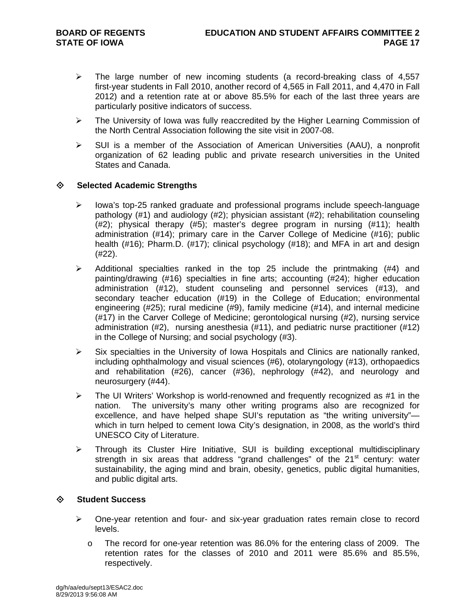- $\triangleright$  The large number of new incoming students (a record-breaking class of 4,557 first-year students in Fall 2010, another record of 4,565 in Fall 2011, and 4,470 in Fall 2012) and a retention rate at or above 85.5% for each of the last three years are particularly positive indicators of success.
- $\triangleright$  The University of Iowa was fully reaccredited by the Higher Learning Commission of the North Central Association following the site visit in 2007-08.
- $\triangleright$  SUI is a member of the Association of American Universities (AAU), a nonprofit organization of 62 leading public and private research universities in the United States and Canada.

### **Selected Academic Strengths**

- $\triangleright$  lowa's top-25 ranked graduate and professional programs include speech-language pathology (#1) and audiology (#2); physician assistant (#2); rehabilitation counseling (#2); physical therapy (#5); master's degree program in nursing (#11); health administration (#14); primary care in the Carver College of Medicine (#16); public health (#16); Pharm.D. (#17); clinical psychology (#18); and MFA in art and design (#22).
- $\triangleright$  Additional specialties ranked in the top 25 include the printmaking (#4) and painting/drawing (#16) specialties in fine arts; accounting (#24); higher education administration (#12), student counseling and personnel services (#13), and secondary teacher education (#19) in the College of Education; environmental engineering (#25); rural medicine (#9), family medicine (#14), and internal medicine (#17) in the Carver College of Medicine; gerontological nursing (#2), nursing service administration (#2), nursing anesthesia (#11), and pediatric nurse practitioner (#12) in the College of Nursing; and social psychology (#3).
- $\triangleright$  Six specialties in the University of Iowa Hospitals and Clinics are nationally ranked, including ophthalmology and visual sciences (#6), otolaryngology (#13), orthopaedics and rehabilitation (#26), cancer (#36), nephrology (#42), and neurology and neurosurgery (#44).
- $\triangleright$  The UI Writers' Workshop is world-renowned and frequently recognized as #1 in the nation. The university's many other writing programs also are recognized for excellence, and have helped shape SUI's reputation as "the writing university" which in turn helped to cement Iowa City's designation, in 2008, as the world's third UNESCO City of Literature.
- $\triangleright$  Through its Cluster Hire Initiative, SUI is building exceptional multidisciplinary strength in six areas that address "grand challenges" of the  $21<sup>st</sup>$  century: water sustainability, the aging mind and brain, obesity, genetics, public digital humanities, and public digital arts.

### **Student Success**

- $\triangleright$  One-year retention and four- and six-year graduation rates remain close to record levels.
	- o The record for one-year retention was 86.0% for the entering class of 2009. The retention rates for the classes of 2010 and 2011 were 85.6% and 85.5%, respectively.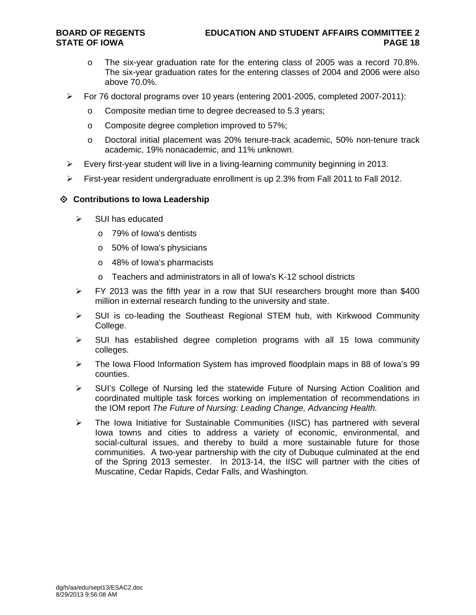- o The six-year graduation rate for the entering class of 2005 was a record 70.8%. The six-year graduation rates for the entering classes of 2004 and 2006 were also above 70.0%.
- $\triangleright$  For 76 doctoral programs over 10 years (entering 2001-2005, completed 2007-2011):
	- o Composite median time to degree decreased to 5.3 years;
	- o Composite degree completion improved to 57%;
	- o Doctoral initial placement was 20% tenure-track academic, 50% non-tenure track academic, 19% nonacademic, and 11% unknown.
- $\triangleright$  Every first-year student will live in a living-learning community beginning in 2013.
- $\triangleright$  First-year resident undergraduate enrollment is up 2.3% from Fall 2011 to Fall 2012.

### **Contributions to Iowa Leadership**

- $\triangleright$  SUI has educated
	- o 79% of Iowa's dentists
	- o 50% of Iowa's physicians
	- o 48% of Iowa's pharmacists
	- o Teachers and administrators in all of Iowa's K-12 school districts
- $\triangleright$  FY 2013 was the fifth year in a row that SUI researchers brought more than \$400 million in external research funding to the university and state.
- $\triangleright$  SUI is co-leading the Southeast Regional STEM hub, with Kirkwood Community College.
- $\triangleright$  SUI has established degree completion programs with all 15 Iowa community colleges.
- $\triangleright$  The Iowa Flood Information System has improved floodplain maps in 88 of Iowa's 99 counties.
- $\triangleright$  SUI's College of Nursing led the statewide Future of Nursing Action Coalition and coordinated multiple task forces working on implementation of recommendations in the IOM report *The Future of Nursing: Leading Change, Advancing Health.*
- The Iowa Initiative for Sustainable Communities (IISC) has partnered with several Iowa towns and cities to address a variety of economic, environmental, and social-cultural issues, and thereby to build a more sustainable future for those communities. A two-year partnership with the city of Dubuque culminated at the end of the Spring 2013 semester. In 2013-14, the IISC will partner with the cities of Muscatine, Cedar Rapids, Cedar Falls, and Washington.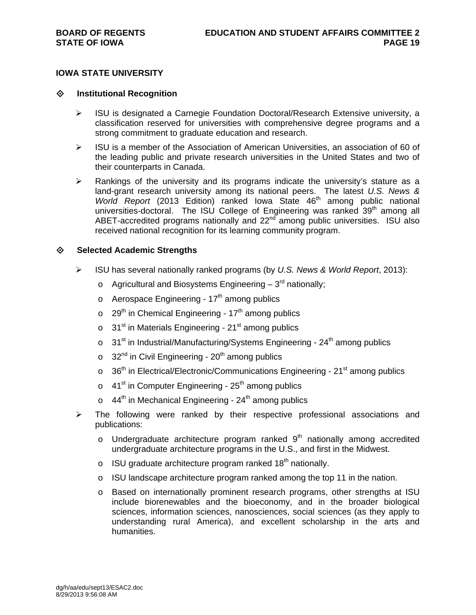### **Institutional Recognition**

- $\triangleright$  ISU is designated a Carnegie Foundation Doctoral/Research Extensive university, a classification reserved for universities with comprehensive degree programs and a strong commitment to graduate education and research.
- $\triangleright$  ISU is a member of the Association of American Universities, an association of 60 of the leading public and private research universities in the United States and two of their counterparts in Canada.
- $\triangleright$  Rankings of the university and its programs indicate the university's stature as a land-grant research university among its national peers. The latest *U.S. News & World Report* (2013 Edition) ranked Iowa State 46<sup>th</sup> among public national universities-doctoral. The ISU College of Engineering was ranked 39<sup>th</sup> among all ABET-accredited programs nationally and  $22<sup>nd</sup>$  among public universities. ISU also received national recognition for its learning community program.

### **Selected Academic Strengths**

- ISU has several nationally ranked programs (by *U.S. News & World Report*, 2013):
	- $\circ$  Agricultural and Biosystems Engineering 3<sup>rd</sup> nationally;
	- $\circ$  Aerospace Engineering 17<sup>th</sup> among publics
	- $\circ$  29<sup>th</sup> in Chemical Engineering 17<sup>th</sup> among publics
	- $\circ$  31<sup>st</sup> in Materials Engineering 21<sup>st</sup> among publics
	- $\circ$  31<sup>st</sup> in Industrial/Manufacturing/Systems Engineering 24<sup>th</sup> among publics
	- $\circ$  32<sup>nd</sup> in Civil Engineering 20<sup>th</sup> among publics
	- $\circ$  36<sup>th</sup> in Electrical/Electronic/Communications Engineering 21<sup>st</sup> among publics
	- $\circ$  41<sup>st</sup> in Computer Engineering 25<sup>th</sup> among publics
	- $\circ$  44<sup>th</sup> in Mechanical Engineering 24<sup>th</sup> among publics
- $\triangleright$  The following were ranked by their respective professional associations and publications:
	- $\circ$  Undergraduate architecture program ranked  $9<sup>th</sup>$  nationally among accredited undergraduate architecture programs in the U.S., and first in the Midwest.
	- $\circ$  ISU graduate architecture program ranked 18<sup>th</sup> nationally.
	- o ISU landscape architecture program ranked among the top 11 in the nation.
	- o Based on internationally prominent research programs, other strengths at ISU include biorenewables and the bioeconomy, and in the broader biological sciences, information sciences, nanosciences, social sciences (as they apply to understanding rural America), and excellent scholarship in the arts and humanities.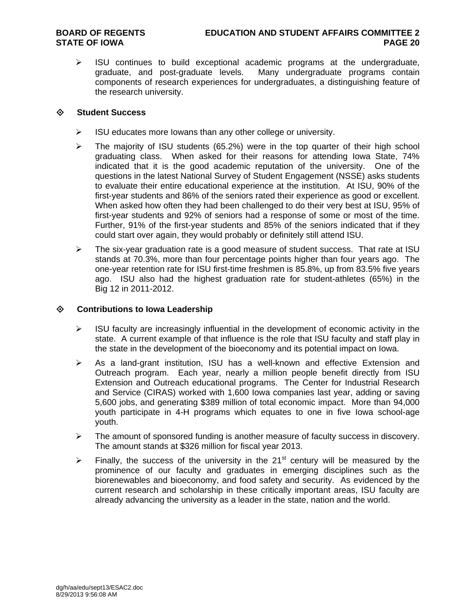$\triangleright$  ISU continues to build exceptional academic programs at the undergraduate, graduate, and post-graduate levels. Many undergraduate programs contain components of research experiences for undergraduates, a distinguishing feature of the research university.

### **Student Success**

- $\triangleright$  ISU educates more lowans than any other college or university.
- $\triangleright$  The majority of ISU students (65.2%) were in the top quarter of their high school graduating class. When asked for their reasons for attending Iowa State, 74% indicated that it is the good academic reputation of the university. One of the questions in the latest National Survey of Student Engagement (NSSE) asks students to evaluate their entire educational experience at the institution. At ISU, 90% of the first-year students and 86% of the seniors rated their experience as good or excellent. When asked how often they had been challenged to do their very best at ISU, 95% of first-year students and 92% of seniors had a response of some or most of the time. Further, 91% of the first-year students and 85% of the seniors indicated that if they could start over again, they would probably or definitely still attend ISU.
- $\triangleright$  The six-year graduation rate is a good measure of student success. That rate at ISU stands at 70.3%, more than four percentage points higher than four years ago. The one-year retention rate for ISU first-time freshmen is 85.8%, up from 83.5% five years ago. ISU also had the highest graduation rate for student-athletes (65%) in the Big 12 in 2011-2012.

### **Contributions to Iowa Leadership**

- $\triangleright$  ISU faculty are increasingly influential in the development of economic activity in the state. A current example of that influence is the role that ISU faculty and staff play in the state in the development of the bioeconomy and its potential impact on Iowa.
- $\triangleright$  As a land-grant institution, ISU has a well-known and effective Extension and Outreach program. Each year, nearly a million people benefit directly from ISU Extension and Outreach educational programs. The Center for Industrial Research and Service (CIRAS) worked with 1,600 Iowa companies last year, adding or saving 5,600 jobs, and generating \$389 million of total economic impact. More than 94,000 youth participate in 4-H programs which equates to one in five Iowa school-age youth.
- $\triangleright$  The amount of sponsored funding is another measure of faculty success in discovery. The amount stands at \$326 million for fiscal year 2013.
- Finally, the success of the university in the 21<sup>st</sup> century will be measured by the prominence of our faculty and graduates in emerging disciplines such as the biorenewables and bioeconomy, and food safety and security. As evidenced by the current research and scholarship in these critically important areas, ISU faculty are already advancing the university as a leader in the state, nation and the world.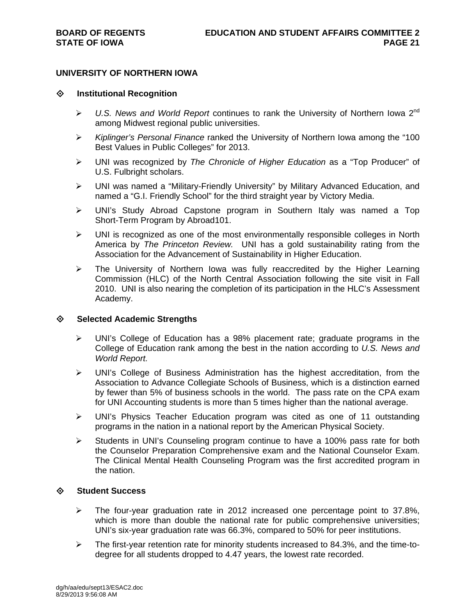### **UNIVERSITY OF NORTHERN IOWA**

### **Institutional Recognition**

- $\triangleright$  U.S. News and World Report continues to rank the University of Northern Iowa 2<sup>nd</sup> among Midwest regional public universities.
- *Kiplinger's Personal Finance* ranked the University of Northern Iowa among the "100 Best Values in Public Colleges" for 2013.
- UNI was recognized by *The Chronicle of Higher Education* as a "Top Producer" of U.S. Fulbright scholars.
- UNI was named a "Military-Friendly University" by Military Advanced Education, and named a "G.I. Friendly School" for the third straight year by Victory Media.
- UNI's Study Abroad Capstone program in Southern Italy was named a Top Short-Term Program by Abroad101.
- $\triangleright$  UNI is recognized as one of the most environmentally responsible colleges in North America by *The Princeton Review.* UNI has a gold sustainability rating from the Association for the Advancement of Sustainability in Higher Education.
- $\triangleright$  The University of Northern Iowa was fully reaccredited by the Higher Learning Commission (HLC) of the North Central Association following the site visit in Fall 2010. UNI is also nearing the completion of its participation in the HLC's Assessment Academy.

### **Selected Academic Strengths**

- UNI's College of Education has a 98% placement rate; graduate programs in the College of Education rank among the best in the nation according to *U.S. News and World Report.*
- $\triangleright$  UNI's College of Business Administration has the highest accreditation, from the Association to Advance Collegiate Schools of Business, which is a distinction earned by fewer than 5% of business schools in the world. The pass rate on the CPA exam for UNI Accounting students is more than 5 times higher than the national average.
- UNI's Physics Teacher Education program was cited as one of 11 outstanding programs in the nation in a national report by the American Physical Society.
- $\triangleright$  Students in UNI's Counseling program continue to have a 100% pass rate for both the Counselor Preparation Comprehensive exam and the National Counselor Exam. The Clinical Mental Health Counseling Program was the first accredited program in the nation.

### **Student Success**

- $\triangleright$  The four-year graduation rate in 2012 increased one percentage point to 37.8%, which is more than double the national rate for public comprehensive universities; UNI's six-year graduation rate was 66.3%, compared to 50% for peer institutions.
- $\triangleright$  The first-year retention rate for minority students increased to 84.3%, and the time-todegree for all students dropped to 4.47 years, the lowest rate recorded.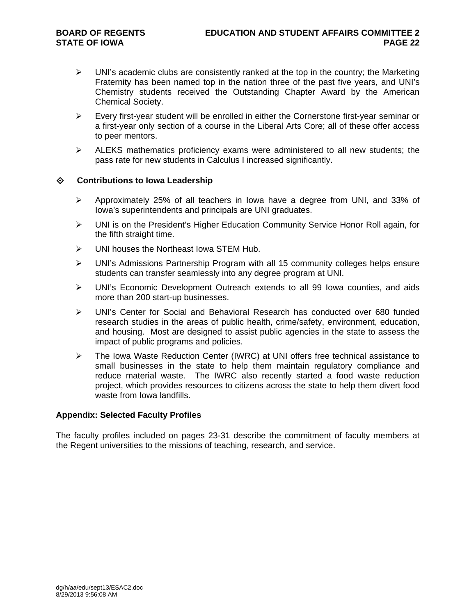- $\triangleright$  UNI's academic clubs are consistently ranked at the top in the country; the Marketing Fraternity has been named top in the nation three of the past five years, and UNI's Chemistry students received the Outstanding Chapter Award by the American Chemical Society.
- $\triangleright$  Every first-year student will be enrolled in either the Cornerstone first-year seminar or a first-year only section of a course in the Liberal Arts Core; all of these offer access to peer mentors.
- $\triangleright$  ALEKS mathematics proficiency exams were administered to all new students; the pass rate for new students in Calculus I increased significantly.

### **Contributions to Iowa Leadership**

- $\triangleright$  Approximately 25% of all teachers in Iowa have a degree from UNI, and 33% of Iowa's superintendents and principals are UNI graduates.
- UNI is on the President's Higher Education Community Service Honor Roll again, for the fifth straight time.
- UNI houses the Northeast Iowa STEM Hub.
- UNI's Admissions Partnership Program with all 15 community colleges helps ensure students can transfer seamlessly into any degree program at UNI.
- UNI's Economic Development Outreach extends to all 99 Iowa counties, and aids more than 200 start-up businesses.
- UNI's Center for Social and Behavioral Research has conducted over 680 funded research studies in the areas of public health, crime/safety, environment, education, and housing. Most are designed to assist public agencies in the state to assess the impact of public programs and policies.
- $\triangleright$  The Iowa Waste Reduction Center (IWRC) at UNI offers free technical assistance to small businesses in the state to help them maintain regulatory compliance and reduce material waste. The IWRC also recently started a food waste reduction project, which provides resources to citizens across the state to help them divert food waste from Iowa landfills.

### **Appendix: Selected Faculty Profiles**

The faculty profiles included on pages 23-31 describe the commitment of faculty members at the Regent universities to the missions of teaching, research, and service.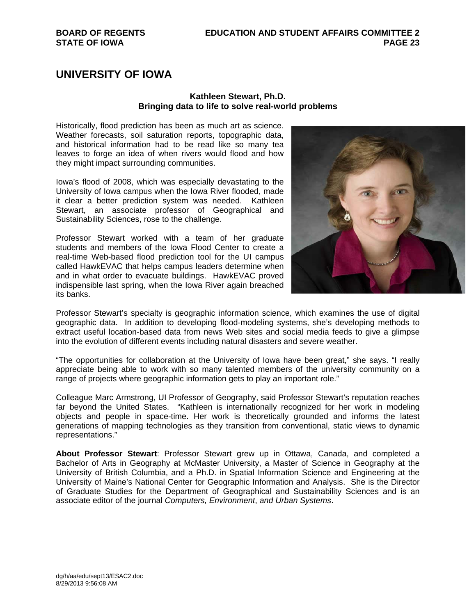# **UNIVERSITY OF IOWA**

### **Kathleen Stewart, Ph.D. Bringing data to life to solve real-world problems**

Historically, flood prediction has been as much art as science. Weather forecasts, soil saturation reports, topographic data, and historical information had to be read like so many tea leaves to forge an idea of when rivers would flood and how they might impact surrounding communities.

Iowa's flood of 2008, which was especially devastating to the University of Iowa campus when the Iowa River flooded, made it clear a better prediction system was needed. Kathleen Stewart, an associate professor of Geographical and Sustainability Sciences, rose to the challenge.

Professor Stewart worked with a team of her graduate students and members of the Iowa Flood Center to create a real-time Web-based flood prediction tool for the UI campus called HawkEVAC that helps campus leaders determine when and in what order to evacuate buildings. HawkEVAC proved indispensible last spring, when the Iowa River again breached its banks.



Professor Stewart's specialty is geographic information science, which examines the use of digital geographic data. In addition to developing flood-modeling systems, she's developing methods to extract useful location-based data from news Web sites and social media feeds to give a glimpse into the evolution of different events including natural disasters and severe weather.

"The opportunities for collaboration at the University of Iowa have been great," she says. "I really appreciate being able to work with so many talented members of the university community on a range of projects where geographic information gets to play an important role."

Colleague Marc Armstrong, UI Professor of Geography, said Professor Stewart's reputation reaches far beyond the United States. "Kathleen is internationally recognized for her work in modeling objects and people in space-time. Her work is theoretically grounded and informs the latest generations of mapping technologies as they transition from conventional, static views to dynamic representations."

**About Professor Stewart**: Professor Stewart grew up in Ottawa, Canada, and completed a Bachelor of Arts in Geography at McMaster University, a Master of Science in Geography at the University of British Columbia, and a Ph.D. in Spatial Information Science and Engineering at the University of Maine's National Center for Geographic Information and Analysis. She is the Director of Graduate Studies for the Department of Geographical and Sustainability Sciences and is an associate editor of the journal *Computers, Environment*, *and Urban Systems*.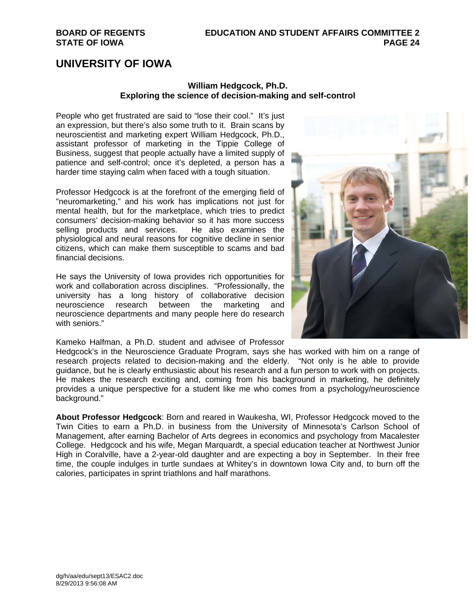## **UNIVERSITY OF IOWA**

### **William Hedgcock, Ph.D. Exploring the science of decision-making and self-control**

People who get frustrated are said to "lose their cool." It's just an expression, but there's also some truth to it. Brain scans by neuroscientist and marketing expert William Hedgcock, Ph.D., assistant professor of marketing in the Tippie College of Business, suggest that people actually have a limited supply of patience and self-control; once it's depleted, a person has a harder time staying calm when faced with a tough situation.

Professor Hedgcock is at the forefront of the emerging field of "neuromarketing," and his work has implications not just for mental health, but for the marketplace, which tries to predict consumers' decision-making behavior so it has more success selling products and services. He also examines the physiological and neural reasons for cognitive decline in senior citizens, which can make them susceptible to scams and bad financial decisions.

He says the University of Iowa provides rich opportunities for work and collaboration across disciplines. "Professionally, the university has a long history of collaborative decision neuroscience research between the marketing and neuroscience departments and many people here do research with seniors."

Kameko Halfman, a Ph.D. student and advisee of Professor



Hedgcock's in the Neuroscience Graduate Program, says she has worked with him on a range of research projects related to decision-making and the elderly. "Not only is he able to provide guidance, but he is clearly enthusiastic about his research and a fun person to work with on projects. He makes the research exciting and, coming from his background in marketing, he definitely provides a unique perspective for a student like me who comes from a psychology/neuroscience background."

**About Professor Hedgcock**: Born and reared in Waukesha, WI, Professor Hedgcock moved to the Twin Cities to earn a Ph.D. in business from the University of Minnesota's Carlson School of Management, after earning Bachelor of Arts degrees in economics and psychology from Macalester College. Hedgcock and his wife, Megan Marquardt, a special education teacher at Northwest Junior High in Coralville, have a 2-year-old daughter and are expecting a boy in September. In their free time, the couple indulges in turtle sundaes at Whitey's in downtown Iowa City and, to burn off the calories, participates in sprint triathlons and half marathons.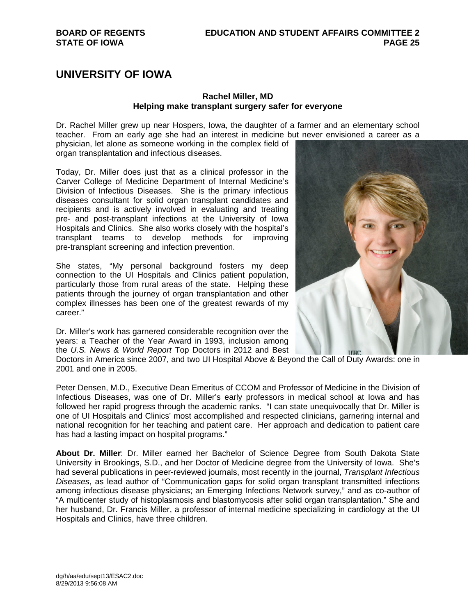# **UNIVERSITY OF IOWA**

### **Rachel Miller, MD Helping make transplant surgery safer for everyone**

Dr. Rachel Miller grew up near Hospers, Iowa, the daughter of a farmer and an elementary school teacher. From an early age she had an interest in medicine but never envisioned a career as a

physician, let alone as someone working in the complex field of organ transplantation and infectious diseases.

Today, Dr. Miller does just that as a clinical professor in the Carver College of Medicine Department of Internal Medicine's Division of Infectious Diseases. She is the primary infectious diseases consultant for solid organ transplant candidates and recipients and is actively involved in evaluating and treating pre- and post-transplant infections at the University of Iowa Hospitals and Clinics. She also works closely with the hospital's transplant teams to develop methods for improving pre-transplant screening and infection prevention.

She states, "My personal background fosters my deep connection to the UI Hospitals and Clinics patient population, particularly those from rural areas of the state. Helping these patients through the journey of organ transplantation and other complex illnesses has been one of the greatest rewards of my career."

Dr. Miller's work has garnered considerable recognition over the years: a Teacher of the Year Award in 1993, inclusion among the *U.S. News & World Report* Top Doctors in 2012 and Best



Doctors in America since 2007, and two UI Hospital Above & Beyond the Call of Duty Awards: one in 2001 and one in 2005.

Peter Densen, M.D., Executive Dean Emeritus of CCOM and Professor of Medicine in the Division of Infectious Diseases, was one of Dr. Miller's early professors in medical school at Iowa and has followed her rapid progress through the academic ranks. "I can state unequivocally that Dr. Miller is one of UI Hospitals and Clinics' most accomplished and respected clinicians, garnering internal and national recognition for her teaching and patient care. Her approach and dedication to patient care has had a lasting impact on hospital programs."

**About Dr. Miller**: Dr. Miller earned her Bachelor of Science Degree from South Dakota State University in Brookings, S.D., and her Doctor of Medicine degree from the University of Iowa. She's had several publications in peer-reviewed journals, most recently in the journal, *Transplant Infectious Diseases*, as lead author of "Communication gaps for solid organ transplant transmitted infections among infectious disease physicians; an Emerging Infections Network survey," and as co-author of "A multicenter study of histoplasmosis and blastomycosis after solid organ transplantation." She and her husband, Dr. Francis Miller, a professor of internal medicine specializing in cardiology at the UI Hospitals and Clinics, have three children.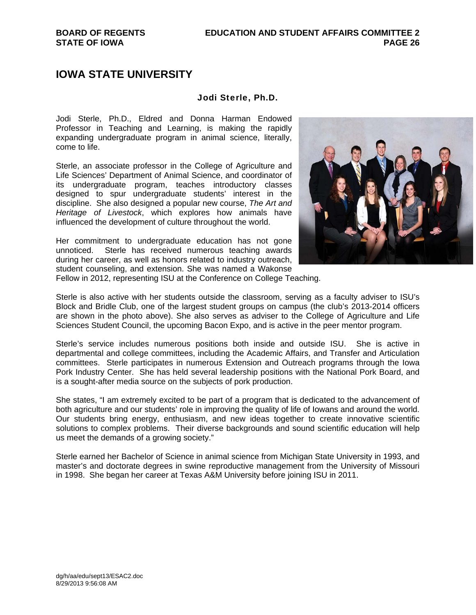### Jodi Sterle, Ph.D.

Jodi Sterle, Ph.D., Eldred and Donna Harman Endowed Professor in Teaching and Learning, is making the rapidly expanding undergraduate program in animal science, literally, come to life.

Sterle, an associate professor in the College of Agriculture and Life Sciences' Department of Animal Science, and coordinator of its undergraduate program, teaches introductory classes designed to spur undergraduate students' interest in the discipline. She also designed a popular new course, *The Art and Heritage of Livestock*, which explores how animals have influenced the development of culture throughout the world.

Her commitment to undergraduate education has not gone unnoticed. Sterle has received numerous teaching awards during her career, as well as honors related to industry outreach, student counseling, and extension. She was named a Wakonse



Fellow in 2012, representing ISU at the Conference on College Teaching.

Sterle is also active with her students outside the classroom, serving as a faculty adviser to ISU's Block and Bridle Club, one of the largest student groups on campus (the club's 2013-2014 officers are shown in the photo above). She also serves as adviser to the College of Agriculture and Life Sciences Student Council, the upcoming Bacon Expo, and is active in the peer mentor program.

Sterle's service includes numerous positions both inside and outside ISU. She is active in departmental and college committees, including the Academic Affairs, and Transfer and Articulation committees. Sterle participates in numerous Extension and Outreach programs through the Iowa Pork Industry Center. She has held several leadership positions with the National Pork Board, and is a sought-after media source on the subjects of pork production.

She states, "I am extremely excited to be part of a program that is dedicated to the advancement of both agriculture and our students' role in improving the quality of life of Iowans and around the world. Our students bring energy, enthusiasm, and new ideas together to create innovative scientific solutions to complex problems. Their diverse backgrounds and sound scientific education will help us meet the demands of a growing society."

Sterle earned her Bachelor of Science in animal science from Michigan State University in 1993, and master's and doctorate degrees in swine reproductive management from the University of Missouri in 1998. She began her career at Texas A&M University before joining ISU in 2011.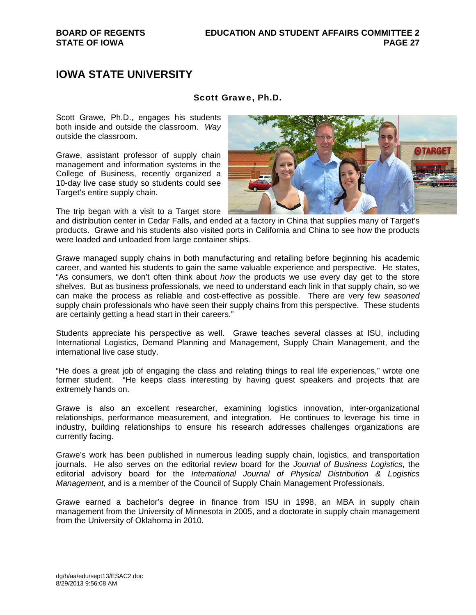### Scott Grawe, Ph.D.

Scott Grawe, Ph.D., engages his students both inside and outside the classroom. *Way* outside the classroom.

Grawe, assistant professor of supply chain management and information systems in the College of Business, recently organized a 10-day live case study so students could see Target's entire supply chain.

The trip began with a visit to a Target store

and distribution center in Cedar Falls, and ended at a factory in China that supplies many of Target's products. Grawe and his students also visited ports in California and China to see how the products were loaded and unloaded from large container ships.

Grawe managed supply chains in both manufacturing and retailing before beginning his academic career, and wanted his students to gain the same valuable experience and perspective. He states, "As consumers, we don't often think about *how* the products we use every day get to the store shelves. But as business professionals, we need to understand each link in that supply chain, so we can make the process as reliable and cost-effective as possible. There are very few *seasoned* supply chain professionals who have seen their supply chains from this perspective. These students are certainly getting a head start in their careers."

Students appreciate his perspective as well. Grawe teaches several classes at ISU, including International Logistics, Demand Planning and Management, Supply Chain Management, and the international live case study.

"He does a great job of engaging the class and relating things to real life experiences," wrote one former student. "He keeps class interesting by having guest speakers and projects that are extremely hands on.

Grawe is also an excellent researcher, examining logistics innovation, inter-organizational relationships, performance measurement, and integration. He continues to leverage his time in industry, building relationships to ensure his research addresses challenges organizations are currently facing.

Grawe's work has been published in numerous leading supply chain, logistics, and transportation journals. He also serves on the editorial review board for the *Journal of Business Logistics*, the editorial advisory board for the *International Journal of Physical Distribution & Logistics Management*, and is a member of the Council of Supply Chain Management Professionals.

Grawe earned a bachelor's degree in finance from ISU in 1998, an MBA in supply chain management from the University of Minnesota in 2005, and a doctorate in supply chain management from the University of Oklahoma in 2010.

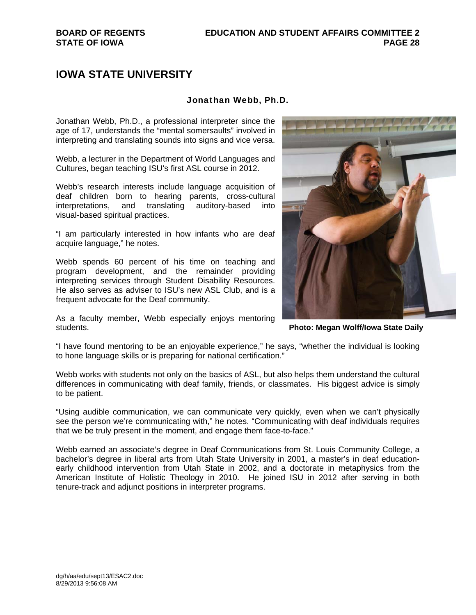### Jonathan Webb, Ph.D.

Jonathan Webb, Ph.D., a professional interpreter since the age of 17, understands the "mental somersaults" involved in interpreting and translating sounds into signs and vice versa.

Webb, a lecturer in the Department of World Languages and Cultures, began teaching ISU's first ASL course in 2012.

Webb's research interests include language acquisition of deaf children born to hearing parents, cross-cultural interpretations, and translating auditory-based into visual-based spiritual practices.

"I am particularly interested in how infants who are deaf acquire language," he notes.

Webb spends 60 percent of his time on teaching and program development, and the remainder providing interpreting services through Student Disability Resources. He also serves as adviser to ISU's new ASL Club, and is a frequent advocate for the Deaf community.

As a faculty member, Webb especially enjoys mentoring students.



**Photo: Megan Wolff/Iowa State Daily** 

"I have found mentoring to be an enjoyable experience," he says, "whether the individual is looking to hone language skills or is preparing for national certification."

Webb works with students not only on the basics of ASL, but also helps them understand the cultural differences in communicating with deaf family, friends, or classmates. His biggest advice is simply to be patient.

"Using audible communication, we can communicate very quickly, even when we can't physically see the person we're communicating with," he notes. "Communicating with deaf individuals requires that we be truly present in the moment, and engage them face-to-face."

Webb earned an associate's degree in Deaf Communications from St. Louis Community College, a bachelor's degree in liberal arts from Utah State University in 2001, a master's in deaf educationearly childhood intervention from Utah State in 2002, and a doctorate in metaphysics from the American Institute of Holistic Theology in 2010. He joined ISU in 2012 after serving in both tenure-track and adjunct positions in interpreter programs.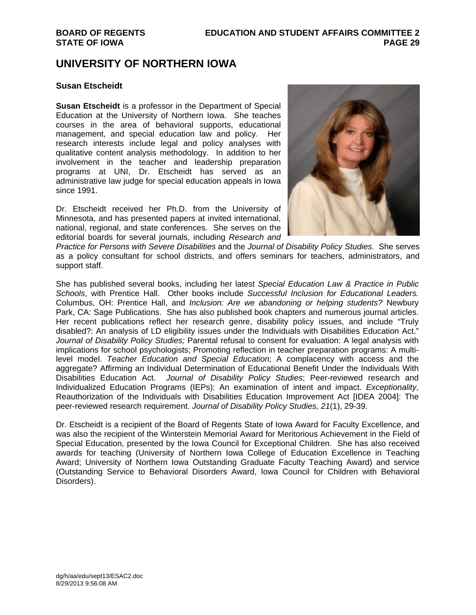## **UNIVERSITY OF NORTHERN IOWA**

### **Susan Etscheidt**

**Susan Etscheidt** is a professor in the Department of Special Education at the University of Northern Iowa. She teaches courses in the area of behavioral supports, educational management, and special education law and policy. Her research interests include legal and policy analyses with qualitative content analysis methodology. In addition to her involvement in the teacher and leadership preparation programs at UNI, Dr. Etscheidt has served as an administrative law judge for special education appeals in Iowa since 1991.

Dr. Etscheidt received her Ph.D. from the University of Minnesota, and has presented papers at invited international, national, regional, and state conferences. She serves on the editorial boards for several journals, including *Research and* 



*Practice for Persons with Severe Disabilities* and the *Journal of Disability Policy Studies.* She serves as a policy consultant for school districts, and offers seminars for teachers, administrators, and support staff.

She has published several books, including her latest *Special Education Law & Practice in Public Schools*, with Prentice Hall. Other books include *Successful Inclusion for Educational Leaders.* Columbus, OH: Prentice Hall, and *Inclusion: Are we abandoning or helping students?* Newbury Park, CA: Sage Publications. She has also published book chapters and numerous journal articles. Her recent publications reflect her research genre, disability policy issues, and include "Truly disabled?: An analysis of LD eligibility issues under the Individuals with Disabilities Education Act." *Journal of Disability Policy Studies;* Parental refusal to consent for evaluation: A legal analysis with implications for school psychologists; Promoting reflection in teacher preparation programs: A multilevel model. *Teacher Education and Special Education*; A complacency with access and the aggregate? Affirming an Individual Determination of Educational Benefit Under the Individuals With Disabilities Education Act. *Journal of Disability Policy Studies*; Peer-reviewed research and Individualized Education Programs (IEPs): An examination of intent and impact. *Exceptionality,*  Reauthorization of the Individuals with Disabilities Education Improvement Act [IDEA 2004]: The peer-reviewed research requirement. *Journal of Disability Policy Studies, 21*(1), 29-39.

Dr. Etscheidt is a recipient of the Board of Regents State of Iowa Award for Faculty Excellence, and was also the recipient of the Winterstein Memorial Award for Meritorious Achievement in the Field of Special Education, presented by the Iowa Council for Exceptional Children. She has also received awards for teaching (University of Northern Iowa College of Education Excellence in Teaching Award; University of Northern Iowa Outstanding Graduate Faculty Teaching Award) and service (Outstanding Service to Behavioral Disorders Award, Iowa Council for Children with Behavioral Disorders).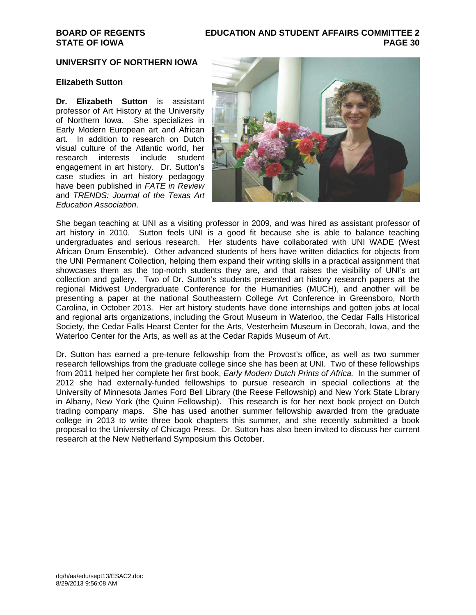### **BOARD OF REGENTS EDUCATION AND STUDENT AFFAIRS COMMITTEE 2 STATE OF IOWA PAGE 30**

### **UNIVERSITY OF NORTHERN IOWA**

### **Elizabeth Sutton**

**Dr. Elizabeth Sutton** is assistant professor of Art History at the University of Northern Iowa. She specializes in Early Modern European art and African art. In addition to research on Dutch visual culture of the Atlantic world, her research interests include student engagement in art history. Dr. Sutton's case studies in art history pedagogy have been published in *FATE in Review*  and *TRENDS: Journal of the Texas Art Education Association*.



She began teaching at UNI as a visiting professor in 2009, and was hired as assistant professor of art history in 2010. Sutton feels UNI is a good fit because she is able to balance teaching undergraduates and serious research. Her students have collaborated with UNI WADE (West African Drum Ensemble). Other advanced students of hers have written didactics for objects from the UNI Permanent Collection, helping them expand their writing skills in a practical assignment that showcases them as the top-notch students they are, and that raises the visibility of UNI's art collection and gallery. Two of Dr. Sutton's students presented art history research papers at the regional Midwest Undergraduate Conference for the Humanities (MUCH), and another will be presenting a paper at the national Southeastern College Art Conference in Greensboro, North Carolina, in October 2013. Her art history students have done internships and gotten jobs at local and regional arts organizations, including the Grout Museum in Waterloo, the Cedar Falls Historical Society, the Cedar Falls Hearst Center for the Arts, Vesterheim Museum in Decorah, Iowa, and the Waterloo Center for the Arts, as well as at the Cedar Rapids Museum of Art.

Dr. Sutton has earned a pre-tenure fellowship from the Provost's office, as well as two summer research fellowships from the graduate college since she has been at UNI. Two of these fellowships from 2011 helped her complete her first book, *Early Modern Dutch Prints of Africa.* In the summer of 2012 she had externally-funded fellowships to pursue research in special collections at the University of Minnesota James Ford Bell Library (the Reese Fellowship) and New York State Library in Albany, New York (the Quinn Fellowship). This research is for her next book project on Dutch trading company maps. She has used another summer fellowship awarded from the graduate college in 2013 to write three book chapters this summer, and she recently submitted a book proposal to the University of Chicago Press. Dr. Sutton has also been invited to discuss her current research at the New Netherland Symposium this October.